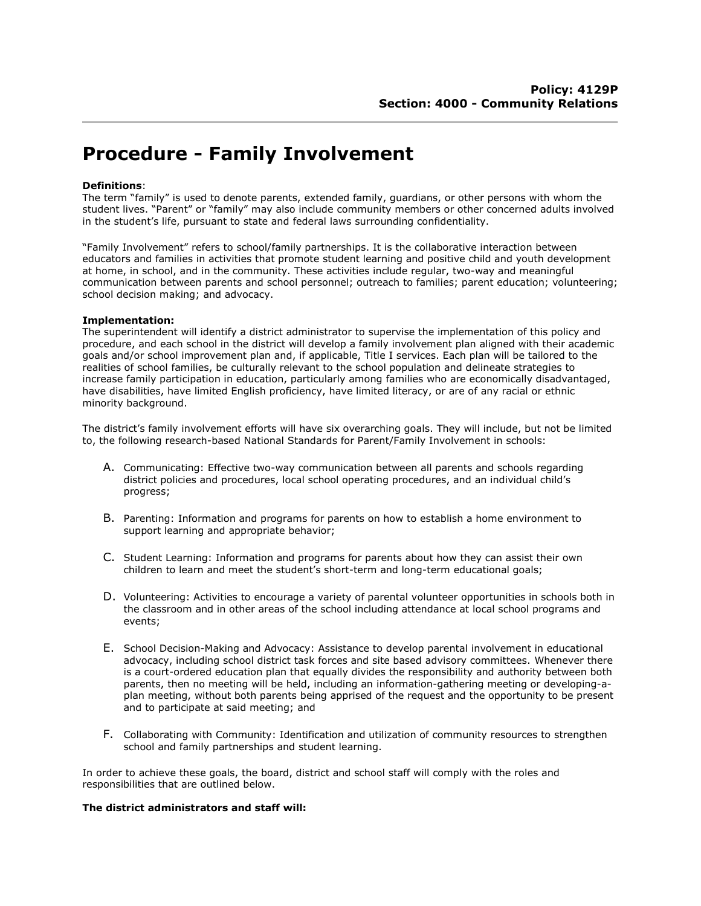# **Procedure - Family Involvement**

### **Definitions**:

The term "family" is used to denote parents, extended family, guardians, or other persons with whom the student lives. "Parent" or "family" may also include community members or other concerned adults involved in the student's life, pursuant to state and federal laws surrounding confidentiality.

"Family Involvement" refers to school/family partnerships. It is the collaborative interaction between educators and families in activities that promote student learning and positive child and youth development at home, in school, and in the community. These activities include regular, two-way and meaningful communication between parents and school personnel; outreach to families; parent education; volunteering; school decision making; and advocacy.

#### **Implementation:**

The superintendent will identify a district administrator to supervise the implementation of this policy and procedure, and each school in the district will develop a family involvement plan aligned with their academic goals and/or school improvement plan and, if applicable, Title I services. Each plan will be tailored to the realities of school families, be culturally relevant to the school population and delineate strategies to increase family participation in education, particularly among families who are economically disadvantaged, have disabilities, have limited English proficiency, have limited literacy, or are of any racial or ethnic minority background.

The district's family involvement efforts will have six overarching goals. They will include, but not be limited to, the following research-based National Standards for Parent/Family Involvement in schools:

- A. Communicating: Effective two-way communication between all parents and schools regarding district policies and procedures, local school operating procedures, and an individual child's progress;
- B. Parenting: Information and programs for parents on how to establish a home environment to support learning and appropriate behavior;
- C. Student Learning: Information and programs for parents about how they can assist their own children to learn and meet the student's short-term and long-term educational goals;
- D. Volunteering: Activities to encourage a variety of parental volunteer opportunities in schools both in the classroom and in other areas of the school including attendance at local school programs and events;
- E. School Decision-Making and Advocacy: Assistance to develop parental involvement in educational advocacy, including school district task forces and site based advisory committees. Whenever there is a court-ordered education plan that equally divides the responsibility and authority between both parents, then no meeting will be held, including an information-gathering meeting or developing-aplan meeting, without both parents being apprised of the request and the opportunity to be present and to participate at said meeting; and
- F. Collaborating with Community: Identification and utilization of community resources to strengthen school and family partnerships and student learning.

In order to achieve these goals, the board, district and school staff will comply with the roles and responsibilities that are outlined below.

### **The district administrators and staff will:**